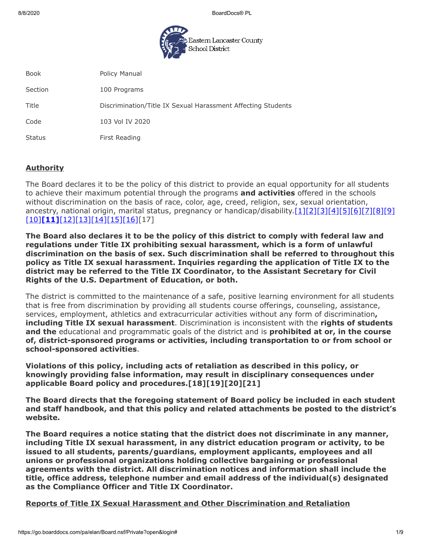8/8/2020 BoardDocs® PL



Book **Policy Manual** Section 100 Programs Title Discrimination/Title IX Sexual Harassment Affecting Students Code 103 Vol IV 2020 Status **First Reading** 

## **Authority**

The Board declares it to be the policy of this district to provide an equal opportunity for all students to achieve their maximum potential through the programs **and activities** offered in the schools without discrimination on the basis of race, color, age, creed, religion, sex, sexual orientation, ancestry, national origin, marital status, pregnancy or handicap/disability[.\[1\]](http://pacodeandbulletin.gov/Display/pacode?file=/secure/pacode/data/022/chapter12/s12.1.html&d=reduce)[\[2\]](http://pacodeandbulletin.gov/Display/pacode?file=/secure/pacode/data/022/chapter12/s12.4.html&d=reduce)[\[3\]](http://pacodeandbulletin.gov/Display/pacode?file=/secure/pacode/data/022/chapter15/chap15toc.html&d=)[\[4\]](http://pacodeandbulletin.gov/Display/pacode?file=/secure/pacode/data/022/chapter4/s4.4.html&d=reduce)[\[5\]](http://www.legis.state.pa.us/cfdocs/legis/LI/uconsCheck.cfm?txtType=HTM&yr=1949&sessInd=0&smthLwInd=0&act=14&chpt=13&sctn=1&subsctn=0)[\[6\]](http://www.legis.state.pa.us/cfdocs/legis/LI/uconsCheck.cfm?txtType=HTM&yr=1949&sessInd=0&smthLwInd=0&act=14&chpt=13&sctn=10&subsctn=0)[\[7\]](http://www.legis.state.pa.us/cfdocs/legis/LI/uconsCheck.cfm?txtType=HTM&yr=1949&sessInd=0&smthLwInd=0&act=014&chpt=16C)[\[8\]](http://www.legis.state.pa.us/cfdocs/legis/LI/uconsCheck.cfm?txtType=HTM&yr=1961&sessInd=0&smthLwInd=0&act=341&chpt=0&sctn=4&subsctn=0)[\[9\]](http://www.legis.state.pa.us/cfdocs/Legis/LI/uconsCheck.cfm?txtType=HTM&yr=1955&sessInd=0&smthLwInd=0&act=0222.) [\[10\]](http://www.law.cornell.edu/uscode/text/20/chapter-38)**[\[11\]](http://www.law.cornell.edu/cfr/text/34/part-106)**[\[12\]](http://www.law.cornell.edu/uscode/text/29/794)[\[13\]](http://www.law.cornell.edu/uscode/text/42/chapter-126)[\[14\]](http://www.law.cornell.edu/uscode/text/42/chapter-21/subchapter-I)[\[15\]](http://www.law.cornell.edu/uscode/text/42/chapter-21/subchapter-V)[\[16\]\[](https://www.law.cornell.edu/constitution/amendmentxiv)17]

**The Board also declares it to be the policy of this district to comply with federal law and regulations under Title IX prohibiting sexual harassment, which is a form of unlawful discrimination on the basis of sex. Such discrimination shall be referred to throughout this policy as Title IX sexual harassment. Inquiries regarding the application of Title IX to the district may be referred to the Title IX Coordinator, to the Assistant Secretary for Civil Rights of the U.S. Department of Education, or both.**

The district is committed to the maintenance of a safe, positive learning environment for all students that is free from discrimination by providing all students course offerings, counseling, assistance, services, employment, athletics and extracurricular activities without any form of discrimination**, including Title IX sexual harassment**. Discrimination is inconsistent with the **rights of students and the** educational and programmatic goals of the district and is **prohibited at or, in the course of, district-sponsored programs or activities, including transportation to or from school or school-sponsored activities**.

**Violations of this policy, including acts of retaliation as described in this policy, or knowingly providing false information, may result in disciplinary consequences under applicable Board policy and procedures.[18][19][20][21]**

**The Board directs that the foregoing statement of Board policy be included in each student and staff handbook, and that this policy and related attachments be posted to the district's website.**

**The Board requires a notice stating that the district does not discriminate in any manner, including Title IX sexual harassment, in any district education program or activity, to be issued to all students, parents/guardians, employment applicants, employees and all unions or professional organizations holding collective bargaining or professional agreements with the district. All discrimination notices and information shall include the title, office address, telephone number and email address of the individual(s) designated as the Compliance Officer and Title IX Coordinator.**

**Reports of Title IX Sexual Harassment and Other Discrimination and Retaliation**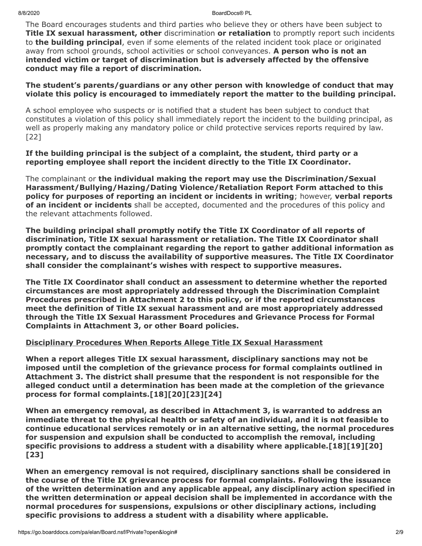8/8/2020 BoardDocs® PL

The Board encourages students and third parties who believe they or others have been subject to **Title IX sexual harassment, other** discrimination **or retaliation** to promptly report such incidents to **the building principal**, even if some elements of the related incident took place or originated away from school grounds, school activities or school conveyances. **A person who is not an intended victim or target of discrimination but is adversely affected by the offensive conduct may file a report of discrimination.**

### **The student's parents/guardians or any other person with knowledge of conduct that may violate this policy is encouraged to immediately report the matter to the building principal.**

A school employee who suspects or is notified that a student has been subject to conduct that constitutes a violation of this policy shall immediately report the incident to the building principal, as well as properly making any mandatory police or child protective services reports required by law. [22]

### **If the building principal is the subject of a complaint, the student, third party or a reporting employee shall report the incident directly to the Title IX Coordinator.**

The complainant or **the individual making the report may use the Discrimination/Sexual Harassment/Bullying/Hazing/Dating Violence/Retaliation Report Form attached to this policy for purposes of reporting an incident or incidents in writing**; however, **verbal reports of an incident or incidents** shall be accepted, documented and the procedures of this policy and the relevant attachments followed.

**The building principal shall promptly notify the Title IX Coordinator of all reports of discrimination, Title IX sexual harassment or retaliation. The Title IX Coordinator shall promptly contact the complainant regarding the report to gather additional information as necessary, and to discuss the availability of supportive measures. The Title IX Coordinator shall consider the complainant's wishes with respect to supportive measures.**

**The Title IX Coordinator shall conduct an assessment to determine whether the reported circumstances are most appropriately addressed through the Discrimination Complaint Procedures prescribed in Attachment 2 to this policy, or if the reported circumstances meet the definition of Title IX sexual harassment and are most appropriately addressed through the Title IX Sexual Harassment Procedures and Grievance Process for Formal Complaints in Attachment 3, or other Board policies.**

# **Disciplinary Procedures When Reports Allege Title IX Sexual Harassment**

**When a report alleges Title IX sexual harassment, disciplinary sanctions may not be imposed until the completion of the grievance process for formal complaints outlined in Attachment 3. The district shall presume that the respondent is not responsible for the alleged conduct until a determination has been made at the completion of the grievance process for formal complaints.[18][20][23][24]**

**When an emergency removal, as described in Attachment 3, is warranted to address an immediate threat to the physical health or safety of an individual, and it is not feasible to continue educational services remotely or in an alternative setting, the normal procedures for suspension and expulsion shall be conducted to accomplish the removal, including specific provisions to address a student with a disability where applicable.[18][19][20] [23]**

**When an emergency removal is not required, disciplinary sanctions shall be considered in the course of the Title IX grievance process for formal complaints. Following the issuance of the written determination and any applicable appeal, any disciplinary action specified in the written determination or appeal decision shall be implemented in accordance with the normal procedures for suspensions, expulsions or other disciplinary actions, including specific provisions to address a student with a disability where applicable.**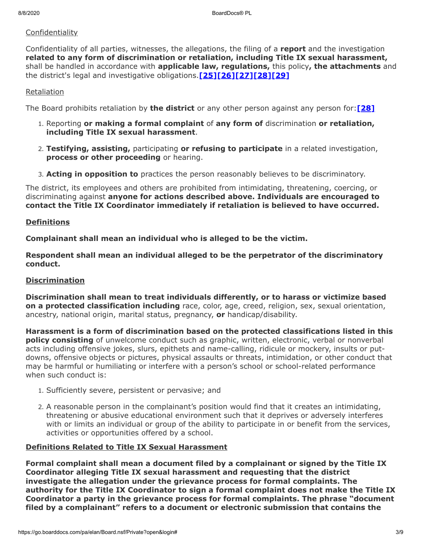## **Confidentiality**

Confidentiality of all parties, witnesses, the allegations, the filing of a **report** and the investigation **related to any form of discrimination or retaliation, including Title IX sexual harassment,** shall be handled in accordance with **applicable law, regulations,** this policy**, the attachments** and the district's legal and investigative obligations.**[\[25\]](http://www.law.cornell.edu/uscode/text/20/1232g)[\[26\]\[27\]\[28\]](https://www.govinfo.gov/content/pkg/FR-2020-05-19/pdf/2020-10512.pdf)[\[29\]](http://www.law.cornell.edu/cfr/text/34/part-99)**

### Retaliation

The Board prohibits retaliation by **the district** or any other person against any person for:**[\[28\]](https://www.govinfo.gov/content/pkg/FR-2020-05-19/pdf/2020-10512.pdf)**

- 1. Reporting **or making a formal complaint** of **any form of** discrimination **or retaliation, including Title IX sexual harassment**.
- 2. **Testifying, assisting,** participating **or refusing to participate** in a related investigation, **process or other proceeding** or hearing.
- 3. **Acting in opposition to** practices the person reasonably believes to be discriminatory.

The district, its employees and others are prohibited from intimidating, threatening, coercing, or discriminating against **anyone for actions described above. Individuals are encouraged to contact the Title IX Coordinator immediately if retaliation is believed to have occurred.**

### **Definitions**

**Complainant shall mean an individual who is alleged to be the victim.**

**Respondent shall mean an individual alleged to be the perpetrator of the discriminatory conduct.**

## **Discrimination**

**Discrimination shall mean to treat individuals differently, or to harass or victimize based on a protected classification including** race, color, age, creed, religion, sex, sexual orientation, ancestry, national origin, marital status, pregnancy, **or** handicap/disability.

**Harassment is a form of discrimination based on the protected classifications listed in this policy consisting** of unwelcome conduct such as graphic, written, electronic, verbal or nonverbal acts including offensive jokes, slurs, epithets and name-calling, ridicule or mockery, insults or putdowns, offensive objects or pictures, physical assaults or threats, intimidation, or other conduct that may be harmful or humiliating or interfere with a person's school or school-related performance when such conduct is:

- 1. Sufficiently severe, persistent or pervasive; and
- 2. A reasonable person in the complainant's position would find that it creates an intimidating, threatening or abusive educational environment such that it deprives or adversely interferes with or limits an individual or group of the ability to participate in or benefit from the services, activities or opportunities offered by a school.

#### **Definitions Related to Title IX Sexual Harassment**

**Formal complaint shall mean a document filed by a complainant or signed by the Title IX Coordinator alleging Title IX sexual harassment and requesting that the district investigate the allegation under the grievance process for formal complaints. The authority for the Title IX Coordinator to sign a formal complaint does not make the Title IX Coordinator a party in the grievance process for formal complaints. The phrase "document filed by a complainant" refers to a document or electronic submission that contains the**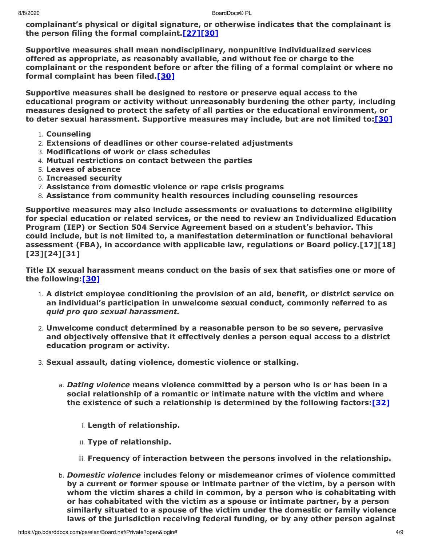**complainant's physical or digital signature, or otherwise indicates that the complainant is the person filing the formal complaint[.\[27\]\[30\]](https://www.govinfo.gov/content/pkg/FR-2020-05-19/pdf/2020-10512.pdf)**

**Supportive measures shall mean nondisciplinary, nonpunitive individualized services offered as appropriate, as reasonably available, and without fee or charge to the complainant or the respondent before or after the filing of a formal complaint or where no formal complaint has been filed.[\[30\]](https://www.govinfo.gov/content/pkg/FR-2020-05-19/pdf/2020-10512.pdf)**

**Supportive measures shall be designed to restore or preserve equal access to the educational program or activity without unreasonably burdening the other party, including measures designed to protect the safety of all parties or the educational environment, or to deter sexual harassment. Supportive measures may include, but are not limited to:[\[30\]](https://www.govinfo.gov/content/pkg/FR-2020-05-19/pdf/2020-10512.pdf)**

- 1. **Counseling**
- 2. **Extensions of deadlines or other course-related adjustments**
- 3. **Modifications of work or class schedules**
- 4. **Mutual restrictions on contact between the parties**
- 5. **Leaves of absence**
- 6. **Increased security**
- 7. **Assistance from domestic violence or rape crisis programs**
- 8. **Assistance from community health resources including counseling resources**

**Supportive measures may also include assessments or evaluations to determine eligibility for special education or related services, or the need to review an Individualized Education Program (IEP) or Section 504 Service Agreement based on a student's behavior. This could include, but is not limited to, a manifestation determination or functional behavioral assessment (FBA), in accordance with applicable law, regulations or Board policy.[17][18] [23][24][31]**

**Title IX sexual harassment means conduct on the basis of sex that satisfies one or more of the following:[\[30\]](https://www.govinfo.gov/content/pkg/FR-2020-05-19/pdf/2020-10512.pdf)**

- 1. **A district employee conditioning the provision of an aid, benefit, or district service on an individual's participation in unwelcome sexual conduct, commonly referred to as** *quid pro quo sexual harassment.*
- 2. **Unwelcome conduct determined by a reasonable person to be so severe, pervasive and objectively offensive that it effectively denies a person equal access to a district education program or activity.**
- 3. **Sexual assault, dating violence, domestic violence or stalking.**
	- a. *Dating violence* **means violence committed by a person who is or has been in a social relationship of a romantic or intimate nature with the victim and where the existence of such a relationship is determined by the following factors:[\[32\]](https://www.law.cornell.edu/uscode/text/34/12291)**
		- i. **Length of relationship.**
		- ii. **Type of relationship.**
		- iii. **Frequency of interaction between the persons involved in the relationship.**
	- b. *Domestic violence* **includes felony or misdemeanor crimes of violence committed by a current or former spouse or intimate partner of the victim, by a person with whom the victim shares a child in common, by a person who is cohabitating with or has cohabitated with the victim as a spouse or intimate partner, by a person similarly situated to a spouse of the victim under the domestic or family violence laws of the jurisdiction receiving federal funding, or by any other person against**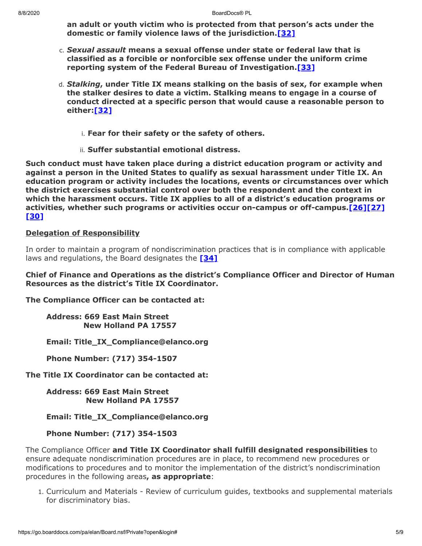**an adult or youth victim who is protected from that person's acts under the domestic or family violence laws of the jurisdiction[.\[32\]](https://www.law.cornell.edu/uscode/text/34/12291)**

- c. *Sexual assault* **means a sexual offense under state or federal law that is classified as a forcible or nonforcible sex offense under the uniform crime reporting system of the Federal Bureau of Investigation.[\[33\]](https://www.law.cornell.edu/uscode/text/20/1092)**
- d. *Stalking***, under Title IX means stalking on the basis of sex, for example when the stalker desires to date a victim. Stalking means to engage in a course of conduct directed at a specific person that would cause a reasonable person to either[:\[32\]](https://www.law.cornell.edu/uscode/text/34/12291)**
	- i. **Fear for their safety or the safety of others.**
	- ii. **Suffer substantial emotional distress.**

**Such conduct must have taken place during a district education program or activity and against a person in the United States to qualify as sexual harassment under Title IX. An education program or activity includes the locations, events or circumstances over which the district exercises substantial control over both the respondent and the context in which the harassment occurs. Title IX applies to all of a district's education programs or activities, whether such programs or activities occur on-campus or off-campus.[\[26\]\[27\]](https://www.govinfo.gov/content/pkg/FR-2020-05-19/pdf/2020-10512.pdf) [\[30\]](https://www.govinfo.gov/content/pkg/FR-2020-05-19/pdf/2020-10512.pdf)**

#### **Delegation of Responsibility**

In order to maintain a program of nondiscrimination practices that is in compliance with applicable laws and regulations, the Board designates the **[\[34\]](https://www.govinfo.gov/content/pkg/FR-2020-05-19/pdf/2020-10512.pdf)**

#### **Chief of Finance and Operations as the district's Compliance Officer and Director of Human Resources as the district's Title IX Coordinator.**

**The Compliance Officer can be contacted at:**

**Address: 669 East Main Street New Holland PA 17557**

**Email: Title\_IX\_Compliance@elanco.org**

**Phone Number: (717) 354-1507**

**The Title IX Coordinator can be contacted at:**

**Address: 669 East Main Street New Holland PA 17557**

**Email: Title\_IX\_Compliance@elanco.org**

**Phone Number: (717) 354-1503**

The Compliance Officer **and Title IX Coordinator shall fulfill designated responsibilities** to ensure adequate nondiscrimination procedures are in place, to recommend new procedures or modifications to procedures and to monitor the implementation of the district's nondiscrimination procedures in the following areas**, as appropriate**:

1. Curriculum and Materials - Review of curriculum guides, textbooks and supplemental materials for discriminatory bias.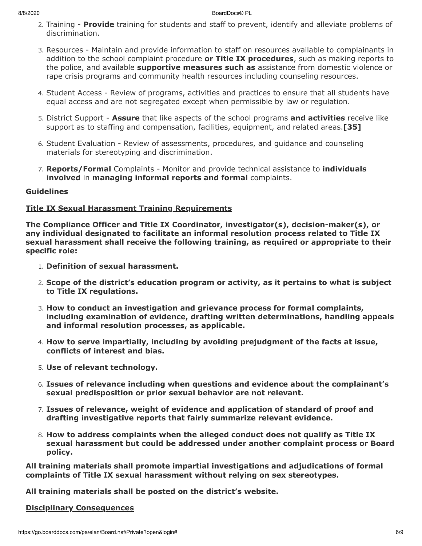- 2. Training **Provide** training for students and staff to prevent, identify and alleviate problems of discrimination.
- 3. Resources Maintain and provide information to staff on resources available to complainants in addition to the school complaint procedure **or Title IX procedures**, such as making reports to the police, and available **supportive measures such as** assistance from domestic violence or rape crisis programs and community health resources including counseling resources.
- 4. Student Access Review of programs, activities and practices to ensure that all students have equal access and are not segregated except when permissible by law or regulation.
- 5. District Support **Assure** that like aspects of the school programs **and activities** receive like support as to staffing and compensation, facilities, equipment, and related areas.**[35]**
- 6. Student Evaluation Review of assessments, procedures, and guidance and counseling materials for stereotyping and discrimination.
- 7. **Reports/Formal** Complaints Monitor and provide technical assistance to **individuals involved** in **managing informal reports and formal** complaints.

## **Guidelines**

## **Title IX Sexual Harassment Training Requirements**

**The Compliance Officer and Title IX Coordinator, investigator(s), decision-maker(s), or any individual designated to facilitate an informal resolution process related to Title IX sexual harassment shall receive the following training, as required or appropriate to their specific role:**

- 1. **Definition of sexual harassment.**
- 2. **Scope of the district's education program or activity, as it pertains to what is subject to Title IX regulations.**
- 3. **How to conduct an investigation and grievance process for formal complaints, including examination of evidence, drafting written determinations, handling appeals and informal resolution processes, as applicable.**
- 4. **How to serve impartially, including by avoiding prejudgment of the facts at issue, conflicts of interest and bias.**
- 5. **Use of relevant technology.**
- 6. **Issues of relevance including when questions and evidence about the complainant's sexual predisposition or prior sexual behavior are not relevant.**
- 7. **Issues of relevance, weight of evidence and application of standard of proof and drafting investigative reports that fairly summarize relevant evidence.**
- 8. **How to address complaints when the alleged conduct does not qualify as Title IX sexual harassment but could be addressed under another complaint process or Board policy.**

**All training materials shall promote impartial investigations and adjudications of formal complaints of Title IX sexual harassment without relying on sex stereotypes.**

**All training materials shall be posted on the district's website.**

#### **Disciplinary Consequences**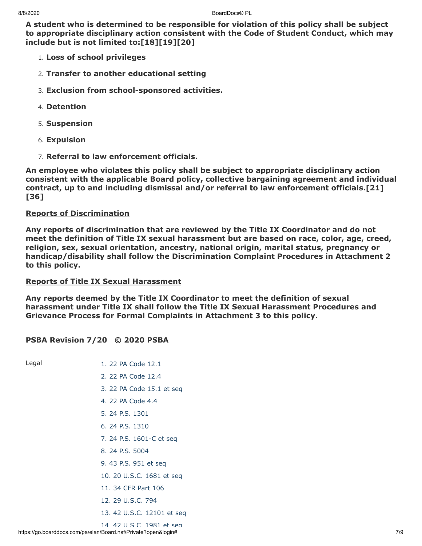**A student who is determined to be responsible for violation of this policy shall be subject to appropriate disciplinary action consistent with the Code of Student Conduct, which may include but is not limited to:[18][19][20]**

- 1. **Loss of school privileges**
- 2. **Transfer to another educational setting**
- 3. **Exclusion from school-sponsored activities.**
- 4. **Detention**
- 5. **Suspension**
- 6. **Expulsion**
- 7. **Referral to law enforcement officials.**

**An employee who violates this policy shall be subject to appropriate disciplinary action consistent with the applicable Board policy, collective bargaining agreement and individual contract, up to and including dismissal and/or referral to law enforcement officials.[21] [36]**

#### **Reports of Discrimination**

**Any reports of discrimination that are reviewed by the Title IX Coordinator and do not meet the definition of Title IX sexual harassment but are based on race, color, age, creed, religion, sex, sexual orientation, ancestry, national origin, marital status, pregnancy or handicap/disability shall follow the Discrimination Complaint Procedures in Attachment 2 to this policy.**

#### **Reports of Title IX Sexual Harassment**

**Any reports deemed by the Title IX Coordinator to meet the definition of sexual harassment under Title IX shall follow the Title IX Sexual Harassment Procedures and Grievance Process for Formal Complaints in Attachment 3 to this policy.**

#### **PSBA Revision 7/20 © 2020 PSBA**

Legal [1. 22 PA Code 12.1](http://pacodeandbulletin.gov/Display/pacode?file=/secure/pacode/data/022/chapter12/s12.1.html&d=reduce) [2. 22 PA Code 12.4](http://pacodeandbulletin.gov/Display/pacode?file=/secure/pacode/data/022/chapter12/s12.4.html&d=reduce) [3. 22 PA Code 15.1 et seq](http://pacodeandbulletin.gov/Display/pacode?file=/secure/pacode/data/022/chapter15/chap15toc.html&d=) [4. 22 PA Code 4.4](http://pacodeandbulletin.gov/Display/pacode?file=/secure/pacode/data/022/chapter4/s4.4.html&d=reduce) [5. 24 P.S. 1301](http://www.legis.state.pa.us/cfdocs/legis/LI/uconsCheck.cfm?txtType=HTM&yr=1949&sessInd=0&smthLwInd=0&act=14&chpt=13&sctn=1&subsctn=0) [6. 24 P.S. 1310](http://www.legis.state.pa.us/cfdocs/legis/LI/uconsCheck.cfm?txtType=HTM&yr=1949&sessInd=0&smthLwInd=0&act=14&chpt=13&sctn=10&subsctn=0) [7. 24 P.S. 1601-C et seq](http://www.legis.state.pa.us/cfdocs/legis/LI/uconsCheck.cfm?txtType=HTM&yr=1949&sessInd=0&smthLwInd=0&act=014&chpt=16C) [8. 24 P.S. 5004](http://www.legis.state.pa.us/cfdocs/legis/LI/uconsCheck.cfm?txtType=HTM&yr=1961&sessInd=0&smthLwInd=0&act=341&chpt=0&sctn=4&subsctn=0) [9. 43 P.S. 951 et seq](http://www.legis.state.pa.us/cfdocs/Legis/LI/uconsCheck.cfm?txtType=HTM&yr=1955&sessInd=0&smthLwInd=0&act=0222.) [10. 20 U.S.C. 1681 et seq](http://www.law.cornell.edu/uscode/text/20/chapter-38) [11. 34 CFR Part 106](http://www.law.cornell.edu/cfr/text/34/part-106) [12. 29 U.S.C. 794](http://www.law.cornell.edu/uscode/text/29/794) [13. 42 U.S.C. 12101 et seq](http://www.law.cornell.edu/uscode/text/42/chapter-126) 14 42 U S C [1981](http://www.law.cornell.edu/uscode/text/42/chapter-21/subchapter-I) et seq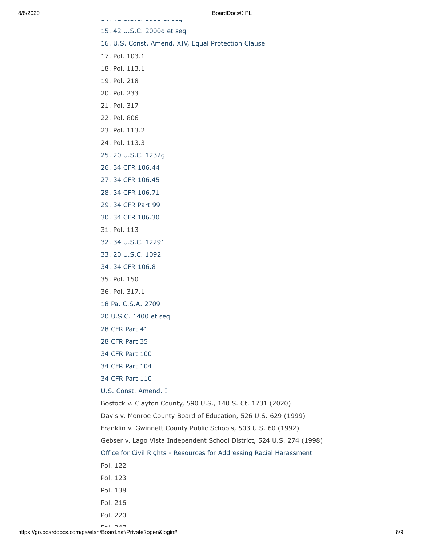[14. 42 U.S.C. 1981 et seq](http://www.law.cornell.edu/uscode/text/42/chapter-21/subchapter-I) [15. 42 U.S.C. 2000d et seq](http://www.law.cornell.edu/uscode/text/42/chapter-21/subchapter-V) [16. U.S. Const. Amend. XIV, Equal Protection Clause](https://www.law.cornell.edu/constitution/amendmentxiv) 17. Pol. 103.1 18. Pol. 113.1 19. Pol. 218 20. Pol. 233 21. Pol. 317 22. Pol. 806 23. Pol. 113.2 24. Pol. 113.3 [25. 20 U.S.C. 1232g](http://www.law.cornell.edu/uscode/text/20/1232g) [26. 34 CFR 106.44](https://www.govinfo.gov/content/pkg/FR-2020-05-19/pdf/2020-10512.pdf) [27. 34 CFR 106.45](https://www.govinfo.gov/content/pkg/FR-2020-05-19/pdf/2020-10512.pdf) [28. 34 CFR 106.71](https://www.govinfo.gov/content/pkg/FR-2020-05-19/pdf/2020-10512.pdf) [29. 34 CFR Part 99](http://www.law.cornell.edu/cfr/text/34/part-99) [30. 34 CFR 106.30](https://www.govinfo.gov/content/pkg/FR-2020-05-19/pdf/2020-10512.pdf) 31. Pol. 113 [32. 34 U.S.C. 12291](https://www.law.cornell.edu/uscode/text/34/12291) [33. 20 U.S.C. 1092](https://www.law.cornell.edu/uscode/text/20/1092) [34. 34 CFR 106.8](https://www.govinfo.gov/content/pkg/FR-2020-05-19/pdf/2020-10512.pdf) 35. Pol. 150 36. Pol. 317.1 [18 Pa. C.S.A. 2709](http://www.legis.state.pa.us/cfdocs/legis/LI/consCheck.cfm?txtType=HTM&ttl=18&div=0&chpt=27&sctn=9&subsctn=0) [20 U.S.C. 1400 et seq](http://www.law.cornell.edu/uscode/text/20/chapter-33) [28 CFR Part 41](http://www.law.cornell.edu/cfr/text/28/part-41) [28 CFR Part 35](http://www.law.cornell.edu/cfr/text/28/part-35) [34 CFR Part 100](http://www.law.cornell.edu/cfr/text/34/part-100) [34 CFR Part 104](http://www.law.cornell.edu/cfr/text/34/part-104) [34 CFR Part 110](http://www.law.cornell.edu/cfr/text/34/part-110) [U.S. Const. Amend. I](https://www.law.cornell.edu/constitution/first_amendment) Bostock v. Clayton County, 590 U.S., 140 S. Ct. 1731 (2020) Davis v. Monroe County Board of Education, 526 U.S. 629 (1999) Franklin v. Gwinnett County Public Schools, 503 U.S. 60 (1992) Gebser v. Lago Vista Independent School District, 524 U.S. 274 (1998) [Office for Civil Rights - Resources for Addressing Racial Harassment](https://www2.ed.gov/about/offices/list/ocr/raceharassresources.html) Pol. 122 Pol. 123 Pol. 138 Pol. 216 Pol. 220